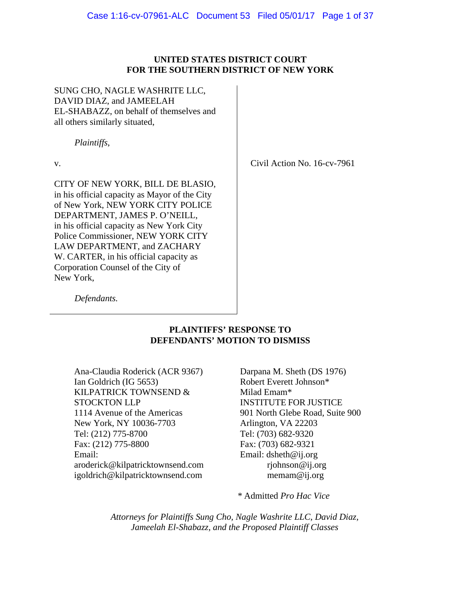## **UNITED STATES DISTRICT COURT FOR THE SOUTHERN DISTRICT OF NEW YORK**

SUNG CHO, NAGLE WASHRITE LLC, DAVID DIAZ, and JAMEELAH EL-SHABAZZ, on behalf of themselves and all others similarly situated,

*Plaintiffs*,

v.

Civil Action No. 16-cv-7961

CITY OF NEW YORK, BILL DE BLASIO, in his official capacity as Mayor of the City of New York, NEW YORK CITY POLICE DEPARTMENT, JAMES P. O'NEILL, in his official capacity as New York City Police Commissioner, NEW YORK CITY LAW DEPARTMENT, and ZACHARY W. CARTER, in his official capacity as Corporation Counsel of the City of New York,

*Defendants.* 

## **PLAINTIFFS' RESPONSE TO DEFENDANTS' MOTION TO DISMISS**

Ana-Claudia Roderick (ACR 9367) Ian Goldrich (IG 5653) KILPATRICK TOWNSEND & STOCKTON LLP 1114 Avenue of the Americas New York, NY 10036-7703 Tel: (212) 775-8700 Fax: (212) 775-8800 Email: aroderick@kilpatricktownsend.com igoldrich@kilpatricktownsend.com

Darpana M. Sheth (DS 1976) Robert Everett Johnson\* Milad Emam\* INSTITUTE FOR JUSTICE 901 North Glebe Road, Suite 900 Arlington, VA 22203 Tel: (703) 682-9320 Fax: (703) 682-9321 Email: dsheth@ij.org rjohnson@ij.org memam@ij.org

*\** Admitted *Pro Hac Vice*

*Attorneys for Plaintiffs Sung Cho, Nagle Washrite LLC, David Diaz, Jameelah El-Shabazz, and the Proposed Plaintiff Classes*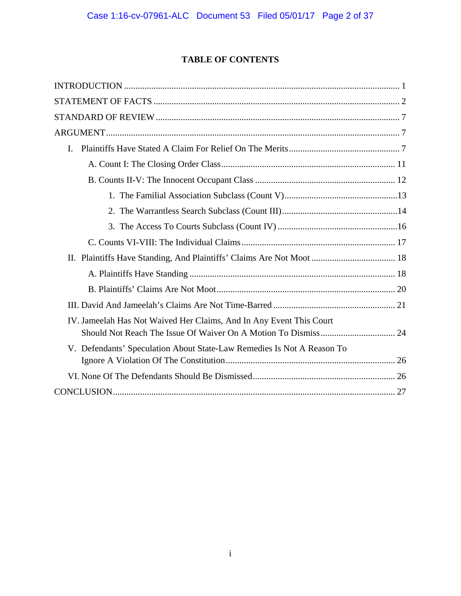## **TABLE OF CONTENTS**

| L.                                                                     |  |
|------------------------------------------------------------------------|--|
|                                                                        |  |
|                                                                        |  |
|                                                                        |  |
|                                                                        |  |
|                                                                        |  |
|                                                                        |  |
|                                                                        |  |
|                                                                        |  |
|                                                                        |  |
|                                                                        |  |
| IV. Jameelah Has Not Waived Her Claims, And In Any Event This Court    |  |
| V. Defendants' Speculation About State-Law Remedies Is Not A Reason To |  |
|                                                                        |  |
|                                                                        |  |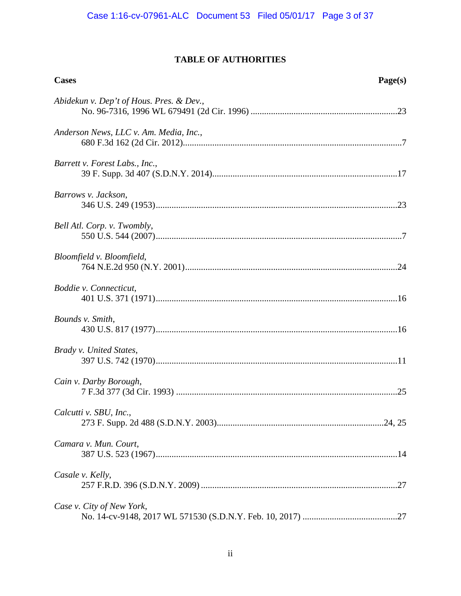## **TABLE OF AUTHORITIES**

| <b>Cases</b>                             | Page(s) |
|------------------------------------------|---------|
| Abidekun v. Dep't of Hous. Pres. & Dev., |         |
| Anderson News, LLC v. Am. Media, Inc.,   |         |
| Barrett v. Forest Labs., Inc.,           |         |
| Barrows v. Jackson,                      |         |
| Bell Atl. Corp. v. Twombly,              |         |
| Bloomfield v. Bloomfield,                |         |
| Boddie v. Connecticut,                   |         |
| Bounds v. Smith,                         |         |
| Brady v. United States,                  |         |
| Cain v. Darby Borough,                   |         |
| Calcutti v. SBU, Inc.,                   |         |
| Camara v. Mun. Court,                    |         |
| Casale v. Kelly,                         |         |
| Case v. City of New York,                |         |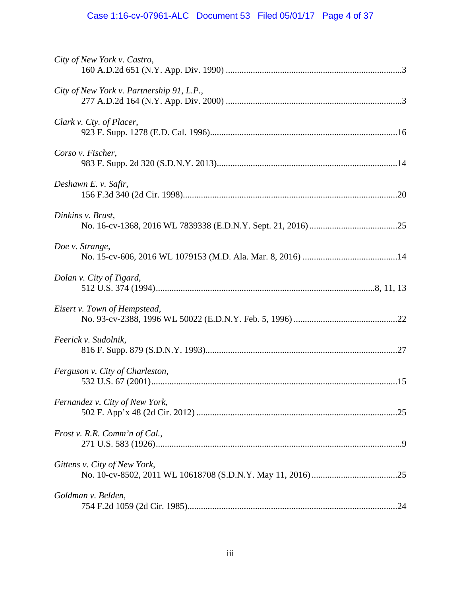## Case 1:16-cv-07961-ALC Document 53 Filed 05/01/17 Page 4 of 37

| City of New York v. Castro,               |
|-------------------------------------------|
| City of New York v. Partnership 91, L.P., |
| Clark v. Cty. of Placer,                  |
| Corso v. Fischer,                         |
| Deshawn E. v. Safir,                      |
| Dinkins v. Brust,                         |
| Doe v. Strange,                           |
| Dolan v. City of Tigard,                  |
| Eisert v. Town of Hempstead,              |
| Feerick v. Sudolnik,                      |
| Ferguson v. City of Charleston,           |
| Fernandez v. City of New York,            |
| Frost v. R.R. Comm'n of Cal.,             |
| Gittens v. City of New York,              |
| Goldman v. Belden,                        |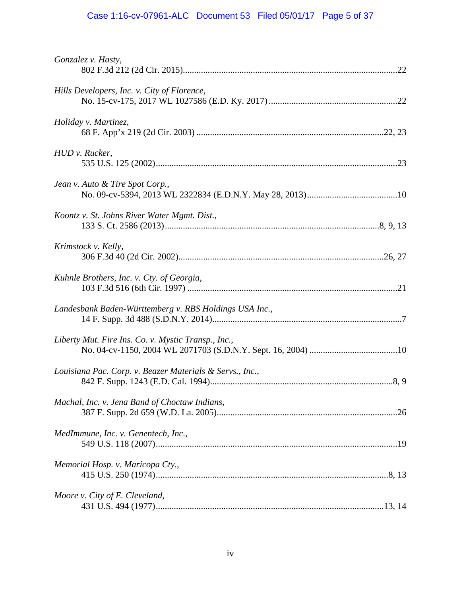## Case 1:16-cv-07961-ALC Document 53 Filed 05/01/17 Page 5 of 37

| Gonzalez v. Hasty,                                       |  |
|----------------------------------------------------------|--|
| Hills Developers, Inc. v. City of Florence,              |  |
| Holiday v. Martinez,                                     |  |
| HUD v. Rucker,                                           |  |
| Jean v. Auto & Tire Spot Corp.,                          |  |
| Koontz v. St. Johns River Water Mgmt. Dist.,             |  |
| Krimstock v. Kelly,                                      |  |
| Kuhnle Brothers, Inc. v. Cty. of Georgia,                |  |
| Landesbank Baden-Württemberg v. RBS Holdings USA Inc.,   |  |
| Liberty Mut. Fire Ins. Co. v. Mystic Transp., Inc.,      |  |
| Louisiana Pac. Corp. v. Beazer Materials & Servs., Inc., |  |
| Machal, Inc. v. Jena Band of Choctaw Indians,            |  |
| MedImmune, Inc. v. Genentech, Inc.,                      |  |
| Memorial Hosp. v. Maricopa Cty.,                         |  |
| Moore v. City of E. Cleveland,                           |  |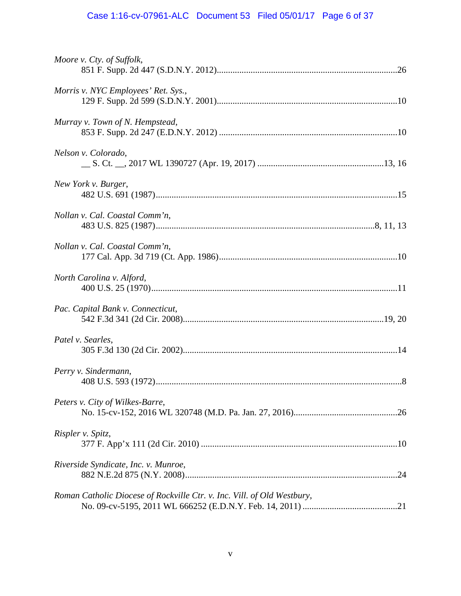# Case 1:16-cv-07961-ALC Document 53 Filed 05/01/17 Page 6 of 37

| Moore v. Cty. of Suffolk,                                               |
|-------------------------------------------------------------------------|
| Morris v. NYC Employees' Ret. Sys.,                                     |
| Murray v. Town of N. Hempstead,                                         |
| Nelson v. Colorado,                                                     |
| New York v. Burger,                                                     |
| Nollan v. Cal. Coastal Comm'n,                                          |
| Nollan v. Cal. Coastal Comm'n,                                          |
| North Carolina v. Alford,                                               |
| Pac. Capital Bank v. Connecticut,                                       |
| Patel v. Searles,                                                       |
| Perry v. Sindermann,                                                    |
| Peters v. City of Wilkes-Barre,                                         |
| Rispler v. Spitz,                                                       |
| Riverside Syndicate, Inc. v. Munroe,                                    |
| Roman Catholic Diocese of Rockville Ctr. v. Inc. Vill. of Old Westbury, |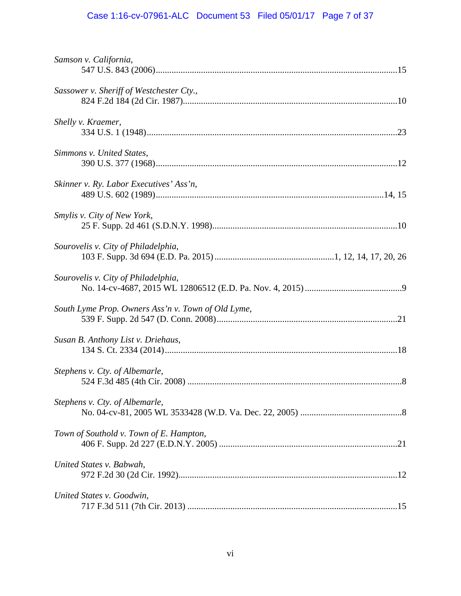# Case 1:16-cv-07961-ALC Document 53 Filed 05/01/17 Page 7 of 37

| Samson v. California,                              |  |
|----------------------------------------------------|--|
| Sassower v. Sheriff of Westchester Cty.,           |  |
| Shelly v. Kraemer,                                 |  |
| Simmons v. United States,                          |  |
| Skinner v. Ry. Labor Executives' Ass'n,            |  |
| Smylis v. City of New York,                        |  |
| Sourovelis v. City of Philadelphia,                |  |
| Sourovelis v. City of Philadelphia,                |  |
| South Lyme Prop. Owners Ass'n v. Town of Old Lyme, |  |
| Susan B. Anthony List v. Driehaus,                 |  |
| Stephens v. Cty. of Albemarle,                     |  |
| Stephens v. Cty. of Albemarle,                     |  |
| Town of Southold v. Town of E. Hampton,            |  |
| United States v. Babwah,                           |  |
| United States v. Goodwin,                          |  |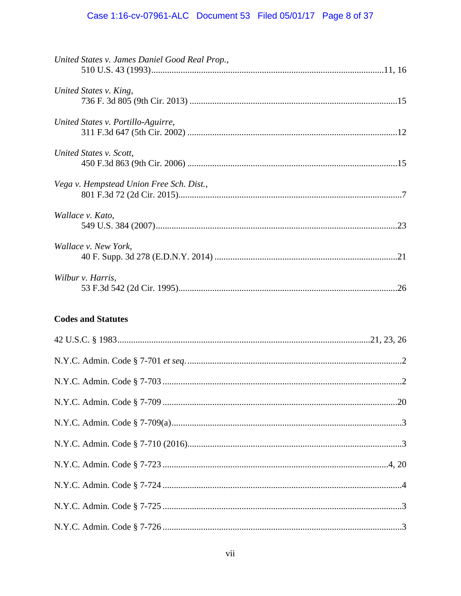## Case 1:16-cv-07961-ALC Document 53 Filed 05/01/17 Page 8 of 37

| United States v. James Daniel Good Real Prop., |  |
|------------------------------------------------|--|
| United States v. King,                         |  |
| United States v. Portillo-Aguirre,             |  |
| United States v. Scott,                        |  |
| Vega v. Hempstead Union Free Sch. Dist.,       |  |
| Wallace v. Kato,                               |  |
| Wallace v. New York,                           |  |
| Wilbur v. Harris,                              |  |
| <b>Codes and Statutes</b>                      |  |
|                                                |  |
|                                                |  |
|                                                |  |
|                                                |  |
|                                                |  |
|                                                |  |
|                                                |  |
|                                                |  |
|                                                |  |
|                                                |  |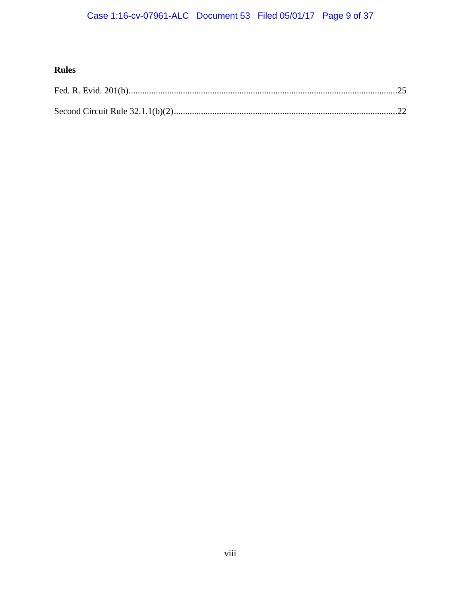## Case 1:16-cv-07961-ALC Document 53 Filed 05/01/17 Page 9 of 37

## **Rules**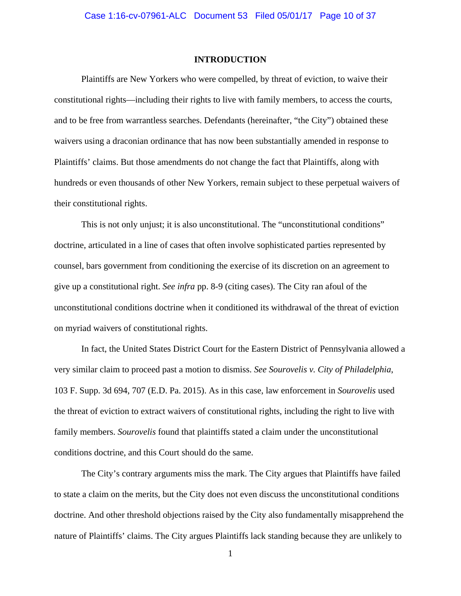## **INTRODUCTION**

Plaintiffs are New Yorkers who were compelled, by threat of eviction, to waive their constitutional rights—including their rights to live with family members, to access the courts, and to be free from warrantless searches. Defendants (hereinafter, "the City") obtained these waivers using a draconian ordinance that has now been substantially amended in response to Plaintiffs' claims. But those amendments do not change the fact that Plaintiffs, along with hundreds or even thousands of other New Yorkers, remain subject to these perpetual waivers of their constitutional rights.

 This is not only unjust; it is also unconstitutional. The "unconstitutional conditions" doctrine, articulated in a line of cases that often involve sophisticated parties represented by counsel, bars government from conditioning the exercise of its discretion on an agreement to give up a constitutional right. *See infra* pp. 8-9 (citing cases). The City ran afoul of the unconstitutional conditions doctrine when it conditioned its withdrawal of the threat of eviction on myriad waivers of constitutional rights.

 In fact, the United States District Court for the Eastern District of Pennsylvania allowed a very similar claim to proceed past a motion to dismiss. *See Sourovelis v. City of Philadelphia*, 103 F. Supp. 3d 694, 707 (E.D. Pa. 2015). As in this case, law enforcement in *Sourovelis* used the threat of eviction to extract waivers of constitutional rights, including the right to live with family members. *Sourovelis* found that plaintiffs stated a claim under the unconstitutional conditions doctrine, and this Court should do the same.

 The City's contrary arguments miss the mark. The City argues that Plaintiffs have failed to state a claim on the merits, but the City does not even discuss the unconstitutional conditions doctrine. And other threshold objections raised by the City also fundamentally misapprehend the nature of Plaintiffs' claims. The City argues Plaintiffs lack standing because they are unlikely to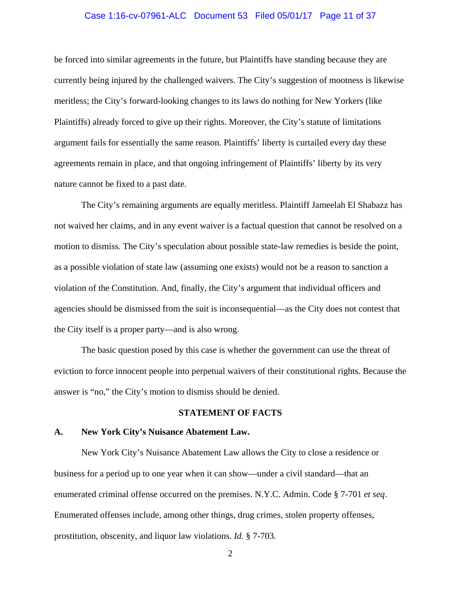#### Case 1:16-cv-07961-ALC Document 53 Filed 05/01/17 Page 11 of 37

be forced into similar agreements in the future, but Plaintiffs have standing because they are currently being injured by the challenged waivers. The City's suggestion of mootness is likewise meritless; the City's forward-looking changes to its laws do nothing for New Yorkers (like Plaintiffs) already forced to give up their rights. Moreover, the City's statute of limitations argument fails for essentially the same reason. Plaintiffs' liberty is curtailed every day these agreements remain in place, and that ongoing infringement of Plaintiffs' liberty by its very nature cannot be fixed to a past date.

 The City's remaining arguments are equally meritless. Plaintiff Jameelah El Shabazz has not waived her claims, and in any event waiver is a factual question that cannot be resolved on a motion to dismiss. The City's speculation about possible state-law remedies is beside the point, as a possible violation of state law (assuming one exists) would not be a reason to sanction a violation of the Constitution. And, finally, the City's argument that individual officers and agencies should be dismissed from the suit is inconsequential—as the City does not contest that the City itself is a proper party—and is also wrong.

 The basic question posed by this case is whether the government can use the threat of eviction to force innocent people into perpetual waivers of their constitutional rights. Because the answer is "no," the City's motion to dismiss should be denied.

#### **STATEMENT OF FACTS**

#### **A. New York City's Nuisance Abatement Law.**

 New York City's Nuisance Abatement Law allows the City to close a residence or business for a period up to one year when it can show—under a civil standard—that an enumerated criminal offense occurred on the premises. N.Y.C. Admin. Code § 7-701 *et seq*. Enumerated offenses include, among other things, drug crimes, stolen property offenses, prostitution, obscenity, and liquor law violations. *Id.* § 7-703.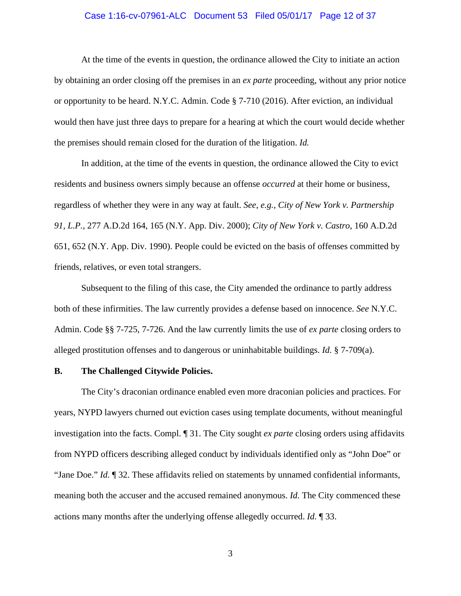#### Case 1:16-cv-07961-ALC Document 53 Filed 05/01/17 Page 12 of 37

 At the time of the events in question, the ordinance allowed the City to initiate an action by obtaining an order closing off the premises in an *ex parte* proceeding, without any prior notice or opportunity to be heard. N.Y.C. Admin. Code § 7-710 (2016). After eviction, an individual would then have just three days to prepare for a hearing at which the court would decide whether the premises should remain closed for the duration of the litigation. *Id.*

 In addition, at the time of the events in question, the ordinance allowed the City to evict residents and business owners simply because an offense *occurred* at their home or business, regardless of whether they were in any way at fault. *See*, *e.g.*, *City of New York v. Partnership 91, L.P.*, 277 A.D.2d 164, 165 (N.Y. App. Div. 2000); *City of New York v. Castro*, 160 A.D.2d 651, 652 (N.Y. App. Div. 1990). People could be evicted on the basis of offenses committed by friends, relatives, or even total strangers.

 Subsequent to the filing of this case, the City amended the ordinance to partly address both of these infirmities. The law currently provides a defense based on innocence. *See* N.Y.C. Admin. Code §§ 7-725, 7-726. And the law currently limits the use of *ex parte* closing orders to alleged prostitution offenses and to dangerous or uninhabitable buildings. *Id.* § 7-709(a).

#### **B. The Challenged Citywide Policies.**

The City's draconian ordinance enabled even more draconian policies and practices. For years, NYPD lawyers churned out eviction cases using template documents, without meaningful investigation into the facts. Compl. ¶ 31. The City sought *ex parte* closing orders using affidavits from NYPD officers describing alleged conduct by individuals identified only as "John Doe" or "Jane Doe." *Id.* ¶ 32. These affidavits relied on statements by unnamed confidential informants, meaning both the accuser and the accused remained anonymous. *Id.* The City commenced these actions many months after the underlying offense allegedly occurred. *Id.* ¶ 33.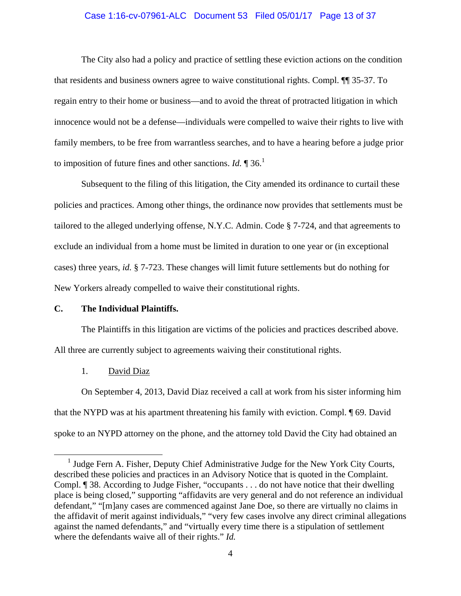#### Case 1:16-cv-07961-ALC Document 53 Filed 05/01/17 Page 13 of 37

 The City also had a policy and practice of settling these eviction actions on the condition that residents and business owners agree to waive constitutional rights. Compl. ¶¶ 35-37. To regain entry to their home or business—and to avoid the threat of protracted litigation in which innocence would not be a defense—individuals were compelled to waive their rights to live with family members, to be free from warrantless searches, and to have a hearing before a judge prior to imposition of future fines and other sanctions. *Id.* ¶ 36.1

 Subsequent to the filing of this litigation, the City amended its ordinance to curtail these policies and practices. Among other things, the ordinance now provides that settlements must be tailored to the alleged underlying offense, N.Y.C. Admin. Code § 7-724, and that agreements to exclude an individual from a home must be limited in duration to one year or (in exceptional cases) three years, *id.* § 7-723. These changes will limit future settlements but do nothing for New Yorkers already compelled to waive their constitutional rights.

#### **C. The Individual Plaintiffs.**

The Plaintiffs in this litigation are victims of the policies and practices described above. All three are currently subject to agreements waiving their constitutional rights.

#### 1. David Diaz

On September 4, 2013, David Diaz received a call at work from his sister informing him that the NYPD was at his apartment threatening his family with eviction. Compl. ¶ 69. David spoke to an NYPD attorney on the phone, and the attorney told David the City had obtained an

 <sup>1</sup> Judge Fern A. Fisher, Deputy Chief Administrative Judge for the New York City Courts, described these policies and practices in an Advisory Notice that is quoted in the Complaint. Compl. ¶ 38. According to Judge Fisher, "occupants . . . do not have notice that their dwelling place is being closed," supporting "affidavits are very general and do not reference an individual defendant," "[m]any cases are commenced against Jane Doe, so there are virtually no claims in the affidavit of merit against individuals," "very few cases involve any direct criminal allegations against the named defendants," and "virtually every time there is a stipulation of settlement where the defendants waive all of their rights." *Id.*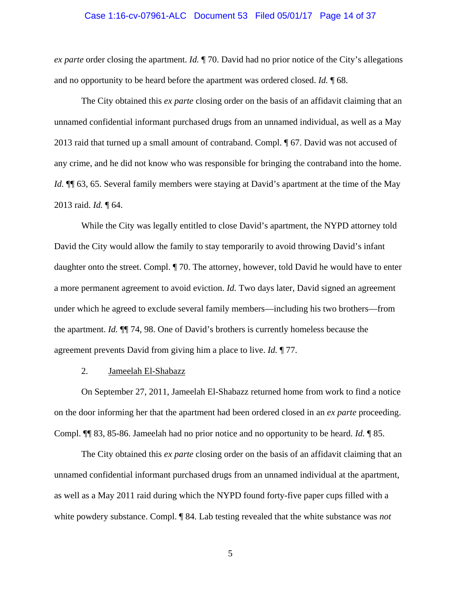#### Case 1:16-cv-07961-ALC Document 53 Filed 05/01/17 Page 14 of 37

*ex parte* order closing the apartment. *Id.* ¶ 70. David had no prior notice of the City's allegations and no opportunity to be heard before the apartment was ordered closed. *Id.* ¶ 68.

The City obtained this *ex parte* closing order on the basis of an affidavit claiming that an unnamed confidential informant purchased drugs from an unnamed individual, as well as a May 2013 raid that turned up a small amount of contraband. Compl. ¶ 67. David was not accused of any crime, and he did not know who was responsible for bringing the contraband into the home. *Id.*  $\P$  63, 65. Several family members were staying at David's apartment at the time of the May 2013 raid. *Id.* ¶ 64.

While the City was legally entitled to close David's apartment, the NYPD attorney told David the City would allow the family to stay temporarily to avoid throwing David's infant daughter onto the street. Compl. ¶ 70. The attorney, however, told David he would have to enter a more permanent agreement to avoid eviction. *Id.* Two days later, David signed an agreement under which he agreed to exclude several family members—including his two brothers—from the apartment. *Id.* ¶¶ 74, 98. One of David's brothers is currently homeless because the agreement prevents David from giving him a place to live. *Id.* ¶ 77.

#### 2. Jameelah El-Shabazz

On September 27, 2011, Jameelah El-Shabazz returned home from work to find a notice on the door informing her that the apartment had been ordered closed in an *ex parte* proceeding. Compl. ¶¶ 83, 85-86. Jameelah had no prior notice and no opportunity to be heard. *Id.* ¶ 85.

The City obtained this *ex parte* closing order on the basis of an affidavit claiming that an unnamed confidential informant purchased drugs from an unnamed individual at the apartment, as well as a May 2011 raid during which the NYPD found forty-five paper cups filled with a white powdery substance. Compl. ¶ 84. Lab testing revealed that the white substance was *not*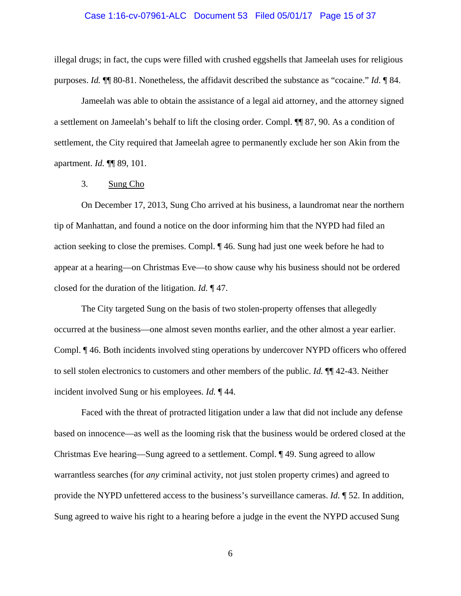#### Case 1:16-cv-07961-ALC Document 53 Filed 05/01/17 Page 15 of 37

illegal drugs; in fact, the cups were filled with crushed eggshells that Jameelah uses for religious purposes. *Id.* ¶¶ 80-81. Nonetheless, the affidavit described the substance as "cocaine." *Id.* ¶ 84.

Jameelah was able to obtain the assistance of a legal aid attorney, and the attorney signed a settlement on Jameelah's behalf to lift the closing order. Compl. ¶¶ 87, 90. As a condition of settlement, the City required that Jameelah agree to permanently exclude her son Akin from the apartment. *Id.* ¶¶ 89, 101.

3. Sung Cho

 On December 17, 2013, Sung Cho arrived at his business, a laundromat near the northern tip of Manhattan, and found a notice on the door informing him that the NYPD had filed an action seeking to close the premises. Compl. ¶ 46. Sung had just one week before he had to appear at a hearing—on Christmas Eve—to show cause why his business should not be ordered closed for the duration of the litigation. *Id.* ¶ 47.

 The City targeted Sung on the basis of two stolen-property offenses that allegedly occurred at the business—one almost seven months earlier, and the other almost a year earlier. Compl. ¶ 46. Both incidents involved sting operations by undercover NYPD officers who offered to sell stolen electronics to customers and other members of the public. *Id.* ¶¶ 42-43. Neither incident involved Sung or his employees. *Id.* ¶ 44.

 Faced with the threat of protracted litigation under a law that did not include any defense based on innocence—as well as the looming risk that the business would be ordered closed at the Christmas Eve hearing—Sung agreed to a settlement. Compl. ¶ 49. Sung agreed to allow warrantless searches (for *any* criminal activity, not just stolen property crimes) and agreed to provide the NYPD unfettered access to the business's surveillance cameras. *Id.* ¶ 52. In addition, Sung agreed to waive his right to a hearing before a judge in the event the NYPD accused Sung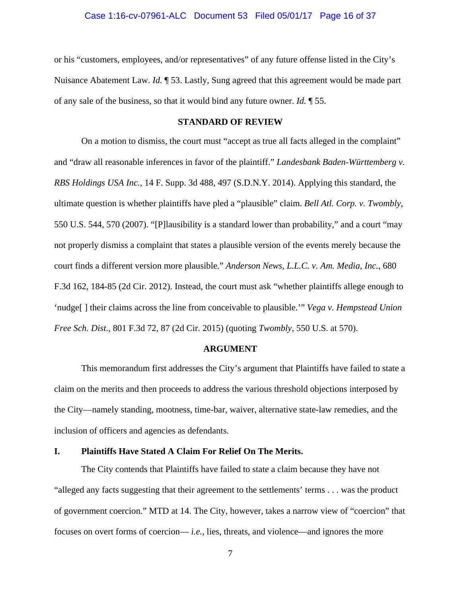#### Case 1:16-cv-07961-ALC Document 53 Filed 05/01/17 Page 16 of 37

or his "customers, employees, and/or representatives" of any future offense listed in the City's Nuisance Abatement Law. *Id.* ¶ 53. Lastly, Sung agreed that this agreement would be made part of any sale of the business, so that it would bind any future owner. *Id.* ¶ 55.

#### **STANDARD OF REVIEW**

On a motion to dismiss, the court must "accept as true all facts alleged in the complaint" and "draw all reasonable inferences in favor of the plaintiff." *Landesbank Baden-Württemberg v. RBS Holdings USA Inc.*, 14 F. Supp. 3d 488, 497 (S.D.N.Y. 2014). Applying this standard, the ultimate question is whether plaintiffs have pled a "plausible" claim. *Bell Atl. Corp. v. Twombly*, 550 U.S. 544, 570 (2007). "[P]lausibility is a standard lower than probability," and a court "may not properly dismiss a complaint that states a plausible version of the events merely because the court finds a different version more plausible." *Anderson News, L.L.C. v. Am. Media, Inc.*, 680 F.3d 162, 184-85 (2d Cir. 2012). Instead, the court must ask "whether plaintiffs allege enough to 'nudge[ ] their claims across the line from conceivable to plausible.'" *Vega v. Hempstead Union Free Sch. Dist.*, 801 F.3d 72, 87 (2d Cir. 2015) (quoting *Twombly*, 550 U.S. at 570).

### **ARGUMENT**

 This memorandum first addresses the City's argument that Plaintiffs have failed to state a claim on the merits and then proceeds to address the various threshold objections interposed by the City—namely standing, mootness, time-bar, waiver, alternative state-law remedies, and the inclusion of officers and agencies as defendants.

### **I. Plaintiffs Have Stated A Claim For Relief On The Merits.**

 The City contends that Plaintiffs have failed to state a claim because they have not "alleged any facts suggesting that their agreement to the settlements' terms . . . was the product of government coercion." MTD at 14. The City, however, takes a narrow view of "coercion" that focuses on overt forms of coercion—*i.e.*, lies, threats, and violence—and ignores the more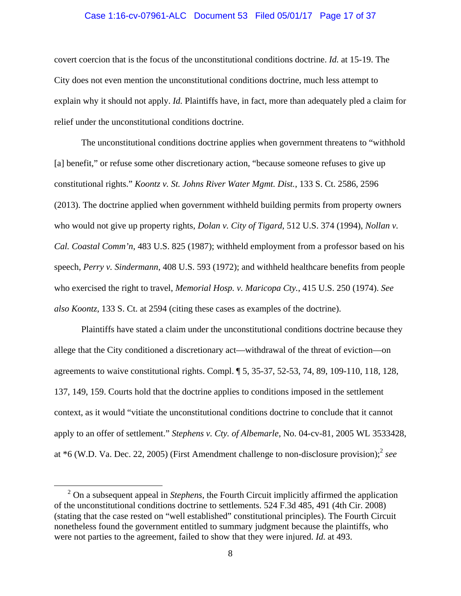#### Case 1:16-cv-07961-ALC Document 53 Filed 05/01/17 Page 17 of 37

covert coercion that is the focus of the unconstitutional conditions doctrine. *Id.* at 15-19. The City does not even mention the unconstitutional conditions doctrine, much less attempt to explain why it should not apply. *Id.* Plaintiffs have, in fact, more than adequately pled a claim for relief under the unconstitutional conditions doctrine.

 The unconstitutional conditions doctrine applies when government threatens to "withhold [a] benefit," or refuse some other discretionary action, "because someone refuses to give up constitutional rights." *Koontz v. St. Johns River Water Mgmt. Dist.*, 133 S. Ct. 2586, 2596 (2013). The doctrine applied when government withheld building permits from property owners who would not give up property rights, *Dolan v. City of Tigard*, 512 U.S. 374 (1994), *Nollan v. Cal. Coastal Comm'n*, 483 U.S. 825 (1987); withheld employment from a professor based on his speech, *Perry v. Sindermann*, 408 U.S. 593 (1972); and withheld healthcare benefits from people who exercised the right to travel, *Memorial Hosp. v. Maricopa Cty.*, 415 U.S. 250 (1974). *See also Koontz*, 133 S. Ct. at 2594 (citing these cases as examples of the doctrine).

 Plaintiffs have stated a claim under the unconstitutional conditions doctrine because they allege that the City conditioned a discretionary act—withdrawal of the threat of eviction—on agreements to waive constitutional rights. Compl. ¶ 5, 35-37, 52-53, 74, 89, 109-110, 118, 128, 137, 149, 159. Courts hold that the doctrine applies to conditions imposed in the settlement context, as it would "vitiate the unconstitutional conditions doctrine to conclude that it cannot apply to an offer of settlement." *Stephens v. Cty. of Albemarle*, No. 04-cv-81, 2005 WL 3533428, at  $*6$  (W.D. Va. Dec. 22, 2005) (First Amendment challenge to non-disclosure provision);  $2$  see

<sup>&</sup>lt;sup>2</sup> On a subsequent appeal in *Stephens*, the Fourth Circuit implicitly affirmed the application of the unconstitutional conditions doctrine to settlements. 524 F.3d 485, 491 (4th Cir. 2008) (stating that the case rested on "well established" constitutional principles). The Fourth Circuit nonetheless found the government entitled to summary judgment because the plaintiffs, who were not parties to the agreement, failed to show that they were injured. *Id.* at 493.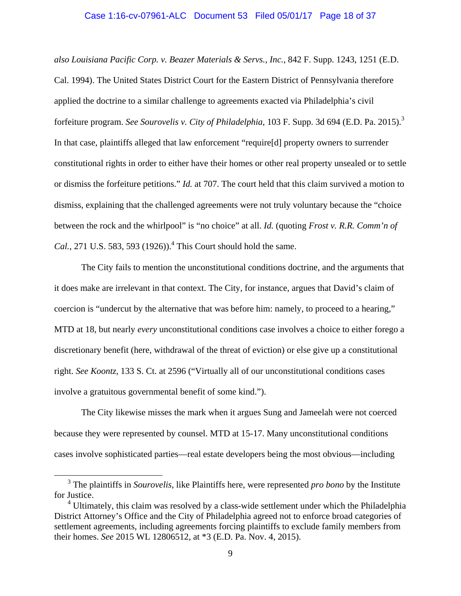#### Case 1:16-cv-07961-ALC Document 53 Filed 05/01/17 Page 18 of 37

*also Louisiana Pacific Corp. v. Beazer Materials & Servs., Inc.*, 842 F. Supp. 1243, 1251 (E.D. Cal. 1994). The United States District Court for the Eastern District of Pennsylvania therefore applied the doctrine to a similar challenge to agreements exacted via Philadelphia's civil forfeiture program. *See Sourovelis v. City of Philadelphia*, 103 F. Supp. 3d 694 (E.D. Pa. 2015).3 In that case, plaintiffs alleged that law enforcement "require[d] property owners to surrender constitutional rights in order to either have their homes or other real property unsealed or to settle or dismiss the forfeiture petitions." *Id.* at 707. The court held that this claim survived a motion to dismiss, explaining that the challenged agreements were not truly voluntary because the "choice between the rock and the whirlpool" is "no choice" at all. *Id.* (quoting *Frost v. R.R. Comm'n of*  Cal., 271 U.S. 583, 593 (1926)).<sup>4</sup> This Court should hold the same.

 The City fails to mention the unconstitutional conditions doctrine, and the arguments that it does make are irrelevant in that context. The City, for instance, argues that David's claim of coercion is "undercut by the alternative that was before him: namely, to proceed to a hearing," MTD at 18, but nearly *every* unconstitutional conditions case involves a choice to either forego a discretionary benefit (here, withdrawal of the threat of eviction) or else give up a constitutional right. *See Koontz*, 133 S. Ct. at 2596 ("Virtually all of our unconstitutional conditions cases involve a gratuitous governmental benefit of some kind.").

 The City likewise misses the mark when it argues Sung and Jameelah were not coerced because they were represented by counsel. MTD at 15-17. Many unconstitutional conditions cases involve sophisticated parties—real estate developers being the most obvious—including

 <sup>3</sup> The plaintiffs in *Sourovelis*, like Plaintiffs here, were represented *pro bono* by the Institute for Justice.

<sup>&</sup>lt;sup>4</sup> Ultimately, this claim was resolved by a class-wide settlement under which the Philadelphia District Attorney's Office and the City of Philadelphia agreed not to enforce broad categories of settlement agreements, including agreements forcing plaintiffs to exclude family members from their homes. *See* 2015 WL 12806512, at \*3 (E.D. Pa. Nov. 4, 2015).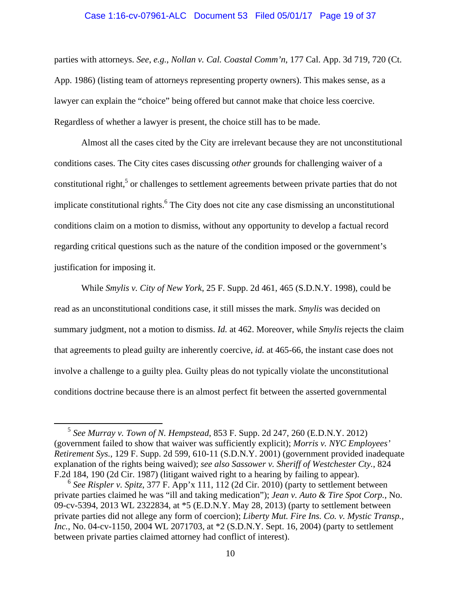#### Case 1:16-cv-07961-ALC Document 53 Filed 05/01/17 Page 19 of 37

parties with attorneys. *See*, *e.g.*, *Nollan v. Cal. Coastal Comm'n*, 177 Cal. App. 3d 719, 720 (Ct. App. 1986) (listing team of attorneys representing property owners). This makes sense, as a lawyer can explain the "choice" being offered but cannot make that choice less coercive. Regardless of whether a lawyer is present, the choice still has to be made.

 Almost all the cases cited by the City are irrelevant because they are not unconstitutional conditions cases. The City cites cases discussing *other* grounds for challenging waiver of a constitutional right,<sup>5</sup> or challenges to settlement agreements between private parties that do not implicate constitutional rights.<sup>6</sup> The City does not cite any case dismissing an unconstitutional conditions claim on a motion to dismiss, without any opportunity to develop a factual record regarding critical questions such as the nature of the condition imposed or the government's justification for imposing it.

While *Smylis v. City of New York*, 25 F. Supp. 2d 461, 465 (S.D.N.Y. 1998), could be read as an unconstitutional conditions case, it still misses the mark. *Smylis* was decided on summary judgment, not a motion to dismiss. *Id.* at 462. Moreover, while *Smylis* rejects the claim that agreements to plead guilty are inherently coercive, *id.* at 465-66, the instant case does not involve a challenge to a guilty plea. Guilty pleas do not typically violate the unconstitutional conditions doctrine because there is an almost perfect fit between the asserted governmental

 <sup>5</sup> *See Murray v. Town of N. Hempstead*, 853 F. Supp. 2d 247, 260 (E.D.N.Y. 2012) (government failed to show that waiver was sufficiently explicit); *Morris v. NYC Employees' Retirement Sys.*, 129 F. Supp. 2d 599, 610-11 (S.D.N.Y. 2001) (government provided inadequate explanation of the rights being waived); *see also Sassower v. Sheriff of Westchester Cty.*, 824 F.2d 184, 190 (2d Cir. 1987) (litigant waived right to a hearing by failing to appear).

 $6$  *See Rispler v. Spitz*, 377 F. App'x 111, 112 (2d Cir. 2010) (party to settlement between private parties claimed he was "ill and taking medication"); *Jean v. Auto & Tire Spot Corp.*, No. 09-cv-5394, 2013 WL 2322834, at \*5 (E.D.N.Y. May 28, 2013) (party to settlement between private parties did not allege any form of coercion); *Liberty Mut. Fire Ins. Co. v. Mystic Transp., Inc.*, No. 04-cv-1150, 2004 WL 2071703, at \*2 (S.D.N.Y. Sept. 16, 2004) (party to settlement between private parties claimed attorney had conflict of interest).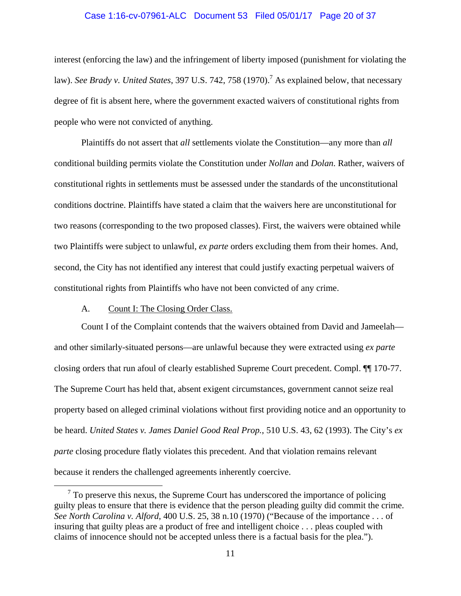#### Case 1:16-cv-07961-ALC Document 53 Filed 05/01/17 Page 20 of 37

interest (enforcing the law) and the infringement of liberty imposed (punishment for violating the law). *See Brady v. United States*, 397 U.S. 742, 758 (1970).<sup>7</sup> As explained below, that necessary degree of fit is absent here, where the government exacted waivers of constitutional rights from people who were not convicted of anything.

Plaintiffs do not assert that *all* settlements violate the Constitution—any more than *all* conditional building permits violate the Constitution under *Nollan* and *Dolan*. Rather, waivers of constitutional rights in settlements must be assessed under the standards of the unconstitutional conditions doctrine. Plaintiffs have stated a claim that the waivers here are unconstitutional for two reasons (corresponding to the two proposed classes). First, the waivers were obtained while two Plaintiffs were subject to unlawful, *ex parte* orders excluding them from their homes. And, second, the City has not identified any interest that could justify exacting perpetual waivers of constitutional rights from Plaintiffs who have not been convicted of any crime.

#### A. Count I: The Closing Order Class.

 Count I of the Complaint contends that the waivers obtained from David and Jameelah and other similarly-situated persons—are unlawful because they were extracted using *ex parte*  closing orders that run afoul of clearly established Supreme Court precedent. Compl. ¶¶ 170-77. The Supreme Court has held that, absent exigent circumstances, government cannot seize real property based on alleged criminal violations without first providing notice and an opportunity to be heard. *United States v. James Daniel Good Real Prop.*, 510 U.S. 43, 62 (1993). The City's *ex parte* closing procedure flatly violates this precedent. And that violation remains relevant because it renders the challenged agreements inherently coercive.

<sup>&</sup>lt;sup>7</sup> To preserve this nexus, the Supreme Court has underscored the importance of policing guilty pleas to ensure that there is evidence that the person pleading guilty did commit the crime. *See North Carolina v. Alford*, 400 U.S. 25, 38 n.10 (1970) ("Because of the importance . . . of insuring that guilty pleas are a product of free and intelligent choice . . . pleas coupled with claims of innocence should not be accepted unless there is a factual basis for the plea.").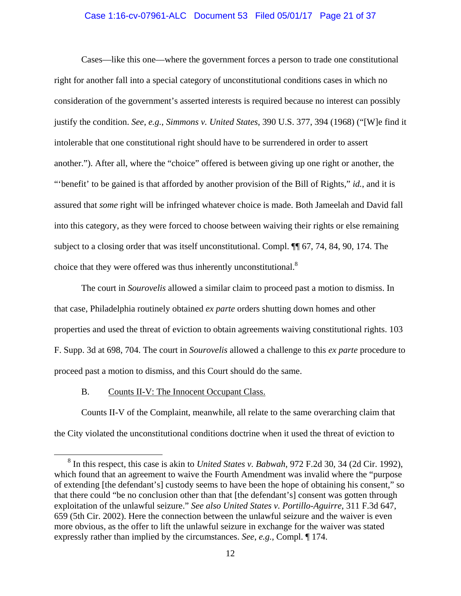#### Case 1:16-cv-07961-ALC Document 53 Filed 05/01/17 Page 21 of 37

 Cases—like this one—where the government forces a person to trade one constitutional right for another fall into a special category of unconstitutional conditions cases in which no consideration of the government's asserted interests is required because no interest can possibly justify the condition. *See*, *e.g.*, *Simmons v. United States*, 390 U.S. 377, 394 (1968) ("[W]e find it intolerable that one constitutional right should have to be surrendered in order to assert another."). After all, where the "choice" offered is between giving up one right or another, the "'benefit' to be gained is that afforded by another provision of the Bill of Rights," *id.*, and it is assured that *some* right will be infringed whatever choice is made. Both Jameelah and David fall into this category, as they were forced to choose between waiving their rights or else remaining subject to a closing order that was itself unconstitutional. Compl. ¶¶ 67, 74, 84, 90, 174. The choice that they were offered was thus inherently unconstitutional. $8$ 

 The court in *Sourovelis* allowed a similar claim to proceed past a motion to dismiss. In that case, Philadelphia routinely obtained *ex parte* orders shutting down homes and other properties and used the threat of eviction to obtain agreements waiving constitutional rights. 103 F. Supp. 3d at 698, 704. The court in *Sourovelis* allowed a challenge to this *ex parte* procedure to proceed past a motion to dismiss, and this Court should do the same.

#### B. Counts II-V: The Innocent Occupant Class.

Counts II-V of the Complaint, meanwhile, all relate to the same overarching claim that the City violated the unconstitutional conditions doctrine when it used the threat of eviction to

 <sup>8</sup> In this respect, this case is akin to *United States v. Babwah*, 972 F.2d 30, 34 (2d Cir. 1992), which found that an agreement to waive the Fourth Amendment was invalid where the "purpose of extending [the defendant's] custody seems to have been the hope of obtaining his consent," so that there could "be no conclusion other than that [the defendant's] consent was gotten through exploitation of the unlawful seizure." *See also United States v. Portillo-Aguirre*, 311 F.3d 647, 659 (5th Cir. 2002). Here the connection between the unlawful seizure and the waiver is even more obvious, as the offer to lift the unlawful seizure in exchange for the waiver was stated expressly rather than implied by the circumstances. *See*, *e.g.*, Compl. ¶ 174.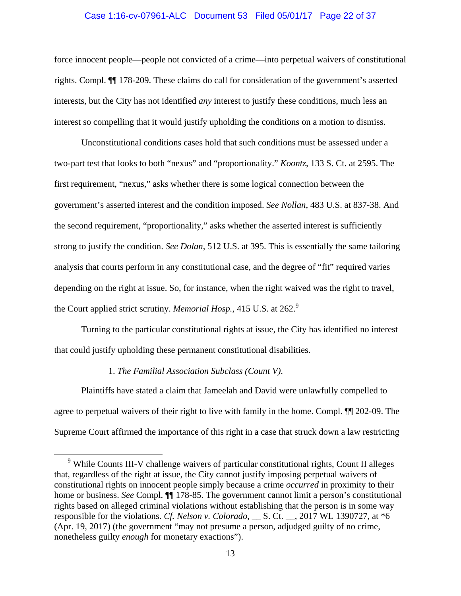#### Case 1:16-cv-07961-ALC Document 53 Filed 05/01/17 Page 22 of 37

force innocent people—people not convicted of a crime—into perpetual waivers of constitutional rights. Compl. ¶¶ 178-209. These claims do call for consideration of the government's asserted interests, but the City has not identified *any* interest to justify these conditions, much less an interest so compelling that it would justify upholding the conditions on a motion to dismiss.

 Unconstitutional conditions cases hold that such conditions must be assessed under a two-part test that looks to both "nexus" and "proportionality." *Koontz*, 133 S. Ct. at 2595. The first requirement, "nexus," asks whether there is some logical connection between the government's asserted interest and the condition imposed. *See Nollan*, 483 U.S. at 837-38. And the second requirement, "proportionality," asks whether the asserted interest is sufficiently strong to justify the condition. *See Dolan*, 512 U.S. at 395. This is essentially the same tailoring analysis that courts perform in any constitutional case, and the degree of "fit" required varies depending on the right at issue. So, for instance, when the right waived was the right to travel, the Court applied strict scrutiny. *Memorial Hosp.*, 415 U.S. at 262.<sup>9</sup>

 Turning to the particular constitutional rights at issue, the City has identified no interest that could justify upholding these permanent constitutional disabilities.

#### 1. *The Familial Association Subclass (Count V)*.

 Plaintiffs have stated a claim that Jameelah and David were unlawfully compelled to agree to perpetual waivers of their right to live with family in the home. Compl. ¶¶ 202-09. The Supreme Court affirmed the importance of this right in a case that struck down a law restricting

 <sup>9</sup> While Counts III-V challenge waivers of particular constitutional rights, Count II alleges that, regardless of the right at issue, the City cannot justify imposing perpetual waivers of constitutional rights on innocent people simply because a crime *occurred* in proximity to their home or business. *See* Compl. ¶¶ 178-85. The government cannot limit a person's constitutional rights based on alleged criminal violations without establishing that the person is in some way responsible for the violations. *Cf. Nelson v. Colorado*, \_\_ S. Ct. \_\_, 2017 WL 1390727, at \*6 (Apr. 19, 2017) (the government "may not presume a person, adjudged guilty of no crime, nonetheless guilty *enough* for monetary exactions").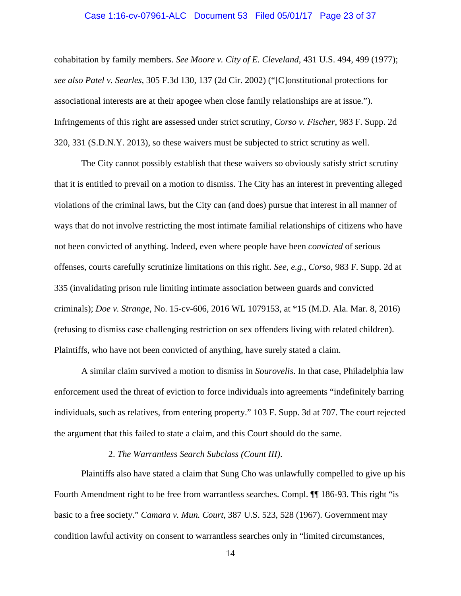#### Case 1:16-cv-07961-ALC Document 53 Filed 05/01/17 Page 23 of 37

cohabitation by family members. *See Moore v. City of E. Cleveland*, 431 U.S. 494, 499 (1977); *see also Patel v. Searles*, 305 F.3d 130, 137 (2d Cir. 2002) ("[C]onstitutional protections for associational interests are at their apogee when close family relationships are at issue."). Infringements of this right are assessed under strict scrutiny, *Corso v. Fischer*, 983 F. Supp. 2d 320, 331 (S.D.N.Y. 2013), so these waivers must be subjected to strict scrutiny as well.

 The City cannot possibly establish that these waivers so obviously satisfy strict scrutiny that it is entitled to prevail on a motion to dismiss. The City has an interest in preventing alleged violations of the criminal laws, but the City can (and does) pursue that interest in all manner of ways that do not involve restricting the most intimate familial relationships of citizens who have not been convicted of anything. Indeed, even where people have been *convicted* of serious offenses, courts carefully scrutinize limitations on this right. *See*, *e.g.*, *Corso*, 983 F. Supp. 2d at 335 (invalidating prison rule limiting intimate association between guards and convicted criminals); *Doe v. Strange*, No. 15-cv-606, 2016 WL 1079153, at \*15 (M.D. Ala. Mar. 8, 2016) (refusing to dismiss case challenging restriction on sex offenders living with related children). Plaintiffs, who have not been convicted of anything, have surely stated a claim.

A similar claim survived a motion to dismiss in *Sourovelis*. In that case, Philadelphia law enforcement used the threat of eviction to force individuals into agreements "indefinitely barring individuals, such as relatives, from entering property." 103 F. Supp. 3d at 707. The court rejected the argument that this failed to state a claim, and this Court should do the same.

#### 2. *The Warrantless Search Subclass (Count III)*.

 Plaintiffs also have stated a claim that Sung Cho was unlawfully compelled to give up his Fourth Amendment right to be free from warrantless searches. Compl. ¶¶ 186-93. This right "is basic to a free society." *Camara v. Mun. Court*, 387 U.S. 523, 528 (1967). Government may condition lawful activity on consent to warrantless searches only in "limited circumstances,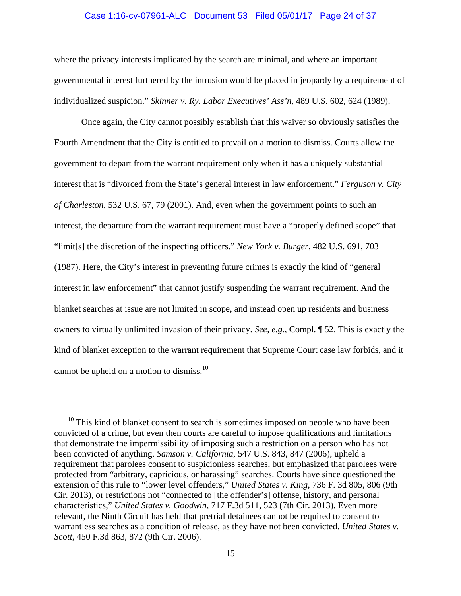#### Case 1:16-cv-07961-ALC Document 53 Filed 05/01/17 Page 24 of 37

where the privacy interests implicated by the search are minimal, and where an important governmental interest furthered by the intrusion would be placed in jeopardy by a requirement of individualized suspicion." *Skinner v. Ry. Labor Executives' Ass'n*, 489 U.S. 602, 624 (1989).

 Once again, the City cannot possibly establish that this waiver so obviously satisfies the Fourth Amendment that the City is entitled to prevail on a motion to dismiss. Courts allow the government to depart from the warrant requirement only when it has a uniquely substantial interest that is "divorced from the State's general interest in law enforcement." *Ferguson v. City of Charleston*, 532 U.S. 67, 79 (2001). And, even when the government points to such an interest, the departure from the warrant requirement must have a "properly defined scope" that "limit[s] the discretion of the inspecting officers." *New York v. Burger*, 482 U.S. 691, 703 (1987). Here, the City's interest in preventing future crimes is exactly the kind of "general interest in law enforcement" that cannot justify suspending the warrant requirement. And the blanket searches at issue are not limited in scope, and instead open up residents and business owners to virtually unlimited invasion of their privacy. *See*, *e.g.*, Compl. ¶ 52. This is exactly the kind of blanket exception to the warrant requirement that Supreme Court case law forbids, and it cannot be upheld on a motion to dismiss.<sup>10</sup>

 $10$  This kind of blanket consent to search is sometimes imposed on people who have been convicted of a crime, but even then courts are careful to impose qualifications and limitations that demonstrate the impermissibility of imposing such a restriction on a person who has not been convicted of anything. *Samson v. California*, 547 U.S. 843, 847 (2006), upheld a requirement that parolees consent to suspicionless searches, but emphasized that parolees were protected from "arbitrary, capricious, or harassing" searches. Courts have since questioned the extension of this rule to "lower level offenders," *United States v. King*, 736 F. 3d 805, 806 (9th Cir. 2013), or restrictions not "connected to [the offender's] offense, history, and personal characteristics," *United States v. Goodwin*, 717 F.3d 511, 523 (7th Cir. 2013). Even more relevant, the Ninth Circuit has held that pretrial detainees cannot be required to consent to warrantless searches as a condition of release, as they have not been convicted. *United States v. Scott*, 450 F.3d 863, 872 (9th Cir. 2006).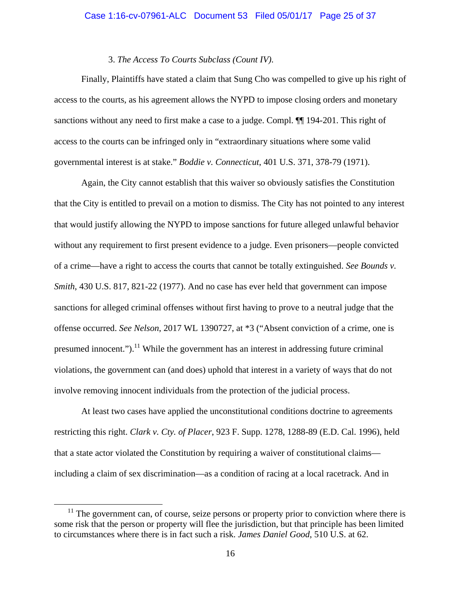## 3. *The Access To Courts Subclass (Count IV)*.

 Finally, Plaintiffs have stated a claim that Sung Cho was compelled to give up his right of access to the courts, as his agreement allows the NYPD to impose closing orders and monetary sanctions without any need to first make a case to a judge. Compl.  $\P$  194-201. This right of access to the courts can be infringed only in "extraordinary situations where some valid governmental interest is at stake." *Boddie v. Connecticut*, 401 U.S. 371, 378-79 (1971).

Again, the City cannot establish that this waiver so obviously satisfies the Constitution that the City is entitled to prevail on a motion to dismiss. The City has not pointed to any interest that would justify allowing the NYPD to impose sanctions for future alleged unlawful behavior without any requirement to first present evidence to a judge. Even prisoners—people convicted of a crime—have a right to access the courts that cannot be totally extinguished. *See Bounds v. Smith*, 430 U.S. 817, 821-22 (1977). And no case has ever held that government can impose sanctions for alleged criminal offenses without first having to prove to a neutral judge that the offense occurred. *See Nelson*, 2017 WL 1390727, at \*3 ("Absent conviction of a crime, one is presumed innocent.").<sup>11</sup> While the government has an interest in addressing future criminal violations, the government can (and does) uphold that interest in a variety of ways that do not involve removing innocent individuals from the protection of the judicial process.

 At least two cases have applied the unconstitutional conditions doctrine to agreements restricting this right. *Clark v. Cty. of Placer*, 923 F. Supp. 1278, 1288-89 (E.D. Cal. 1996), held that a state actor violated the Constitution by requiring a waiver of constitutional claims including a claim of sex discrimination—as a condition of racing at a local racetrack. And in

 $11$  The government can, of course, seize persons or property prior to conviction where there is some risk that the person or property will flee the jurisdiction, but that principle has been limited to circumstances where there is in fact such a risk. *James Daniel Good*, 510 U.S. at 62.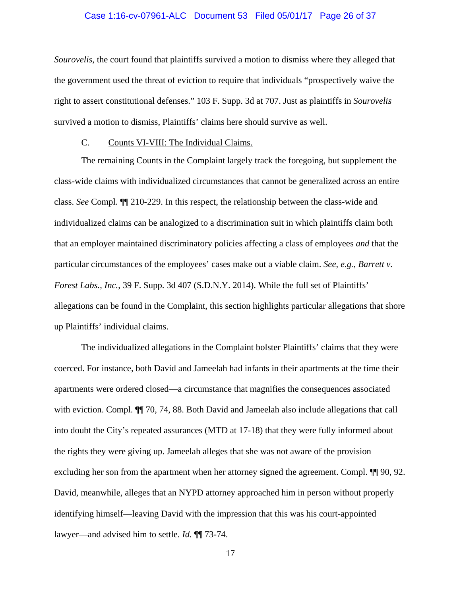#### Case 1:16-cv-07961-ALC Document 53 Filed 05/01/17 Page 26 of 37

*Sourovelis*, the court found that plaintiffs survived a motion to dismiss where they alleged that the government used the threat of eviction to require that individuals "prospectively waive the right to assert constitutional defenses." 103 F. Supp. 3d at 707. Just as plaintiffs in *Sourovelis* survived a motion to dismiss, Plaintiffs' claims here should survive as well.

## C. Counts VI-VIII: The Individual Claims.

The remaining Counts in the Complaint largely track the foregoing, but supplement the class-wide claims with individualized circumstances that cannot be generalized across an entire class. *See* Compl. ¶¶ 210-229. In this respect, the relationship between the class-wide and individualized claims can be analogized to a discrimination suit in which plaintiffs claim both that an employer maintained discriminatory policies affecting a class of employees *and* that the particular circumstances of the employees' cases make out a viable claim. *See*, *e.g.*, *Barrett v. Forest Labs., Inc.*, 39 F. Supp. 3d 407 (S.D.N.Y. 2014). While the full set of Plaintiffs' allegations can be found in the Complaint, this section highlights particular allegations that shore up Plaintiffs' individual claims.

The individualized allegations in the Complaint bolster Plaintiffs' claims that they were coerced. For instance, both David and Jameelah had infants in their apartments at the time their apartments were ordered closed—a circumstance that magnifies the consequences associated with eviction. Compl.  $\P$  70, 74, 88. Both David and Jameelah also include allegations that call into doubt the City's repeated assurances (MTD at 17-18) that they were fully informed about the rights they were giving up. Jameelah alleges that she was not aware of the provision excluding her son from the apartment when her attorney signed the agreement. Compl.  $\P$  90, 92. David, meanwhile, alleges that an NYPD attorney approached him in person without properly identifying himself—leaving David with the impression that this was his court-appointed lawyer—and advised him to settle. *Id.* ¶¶ 73-74.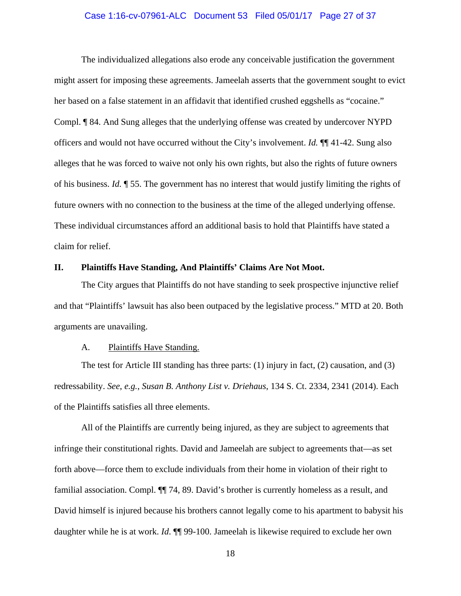#### Case 1:16-cv-07961-ALC Document 53 Filed 05/01/17 Page 27 of 37

The individualized allegations also erode any conceivable justification the government might assert for imposing these agreements. Jameelah asserts that the government sought to evict her based on a false statement in an affidavit that identified crushed eggshells as "cocaine." Compl. ¶ 84. And Sung alleges that the underlying offense was created by undercover NYPD officers and would not have occurred without the City's involvement. *Id.* ¶¶ 41-42. Sung also alleges that he was forced to waive not only his own rights, but also the rights of future owners of his business. *Id.* ¶ 55. The government has no interest that would justify limiting the rights of future owners with no connection to the business at the time of the alleged underlying offense. These individual circumstances afford an additional basis to hold that Plaintiffs have stated a claim for relief.

#### **II. Plaintiffs Have Standing, And Plaintiffs' Claims Are Not Moot.**

The City argues that Plaintiffs do not have standing to seek prospective injunctive relief and that "Plaintiffs' lawsuit has also been outpaced by the legislative process." MTD at 20. Both arguments are unavailing.

## A. Plaintiffs Have Standing.

The test for Article III standing has three parts: (1) injury in fact, (2) causation, and (3) redressability. *See*, *e.g.*, *Susan B. Anthony List v. Driehaus*, 134 S. Ct. 2334, 2341 (2014). Each of the Plaintiffs satisfies all three elements.

All of the Plaintiffs are currently being injured, as they are subject to agreements that infringe their constitutional rights. David and Jameelah are subject to agreements that—as set forth above—force them to exclude individuals from their home in violation of their right to familial association. Compl.  $\P$  74, 89. David's brother is currently homeless as a result, and David himself is injured because his brothers cannot legally come to his apartment to babysit his daughter while he is at work. *Id*. ¶¶ 99-100. Jameelah is likewise required to exclude her own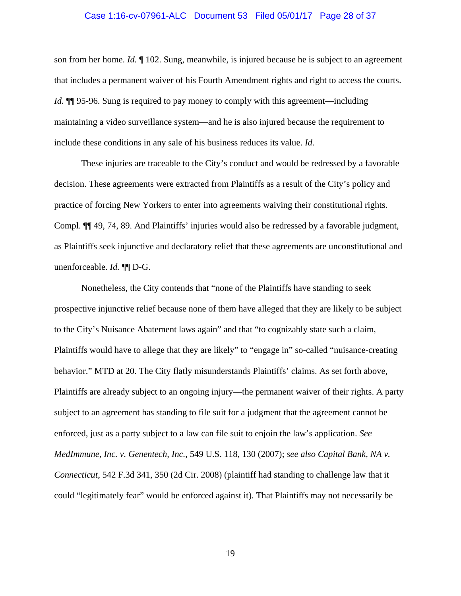#### Case 1:16-cv-07961-ALC Document 53 Filed 05/01/17 Page 28 of 37

son from her home. *Id.* ¶ 102. Sung, meanwhile, is injured because he is subject to an agreement that includes a permanent waiver of his Fourth Amendment rights and right to access the courts. *Id.*  $\P$  95-96. Sung is required to pay money to comply with this agreement—including maintaining a video surveillance system—and he is also injured because the requirement to include these conditions in any sale of his business reduces its value. *Id.*

These injuries are traceable to the City's conduct and would be redressed by a favorable decision. These agreements were extracted from Plaintiffs as a result of the City's policy and practice of forcing New Yorkers to enter into agreements waiving their constitutional rights. Compl. ¶¶ 49, 74, 89. And Plaintiffs' injuries would also be redressed by a favorable judgment, as Plaintiffs seek injunctive and declaratory relief that these agreements are unconstitutional and unenforceable. *Id.* ¶¶ D-G.

Nonetheless, the City contends that "none of the Plaintiffs have standing to seek prospective injunctive relief because none of them have alleged that they are likely to be subject to the City's Nuisance Abatement laws again" and that "to cognizably state such a claim, Plaintiffs would have to allege that they are likely" to "engage in" so-called "nuisance-creating behavior." MTD at 20. The City flatly misunderstands Plaintiffs' claims. As set forth above, Plaintiffs are already subject to an ongoing injury—the permanent waiver of their rights. A party subject to an agreement has standing to file suit for a judgment that the agreement cannot be enforced, just as a party subject to a law can file suit to enjoin the law's application. *See MedImmune, Inc. v. Genentech, Inc.*, 549 U.S. 118, 130 (2007); *see also Capital Bank, NA v. Connecticut*, 542 F.3d 341, 350 (2d Cir. 2008) (plaintiff had standing to challenge law that it could "legitimately fear" would be enforced against it). That Plaintiffs may not necessarily be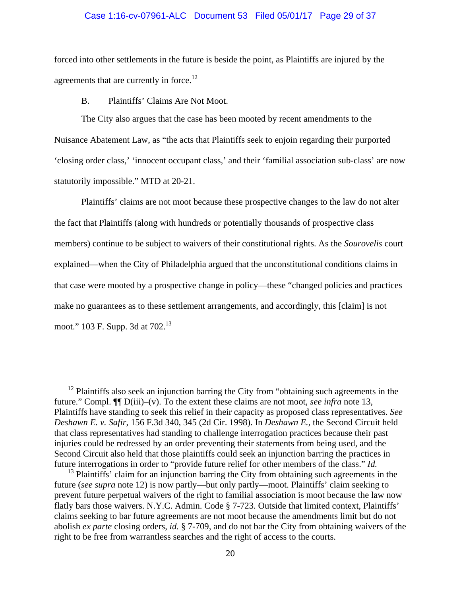#### Case 1:16-cv-07961-ALC Document 53 Filed 05/01/17 Page 29 of 37

forced into other settlements in the future is beside the point, as Plaintiffs are injured by the agreements that are currently in force.<sup>12</sup>

### B. Plaintiffs' Claims Are Not Moot.

The City also argues that the case has been mooted by recent amendments to the Nuisance Abatement Law, as "the acts that Plaintiffs seek to enjoin regarding their purported 'closing order class,' 'innocent occupant class,' and their 'familial association sub-class' are now statutorily impossible." MTD at 20-21.

Plaintiffs' claims are not moot because these prospective changes to the law do not alter the fact that Plaintiffs (along with hundreds or potentially thousands of prospective class members) continue to be subject to waivers of their constitutional rights. As the *Sourovelis* court explained—when the City of Philadelphia argued that the unconstitutional conditions claims in that case were mooted by a prospective change in policy—these "changed policies and practices make no guarantees as to these settlement arrangements, and accordingly, this [claim] is not moot." 103 F. Supp. 3d at 702.<sup>13</sup>

 $12$  Plaintiffs also seek an injunction barring the City from "obtaining such agreements in the future." Compl. ¶¶ D(iii)–(v). To the extent these claims are not moot, *see infra* note 13, Plaintiffs have standing to seek this relief in their capacity as proposed class representatives. *See Deshawn E. v. Safir*, 156 F.3d 340, 345 (2d Cir. 1998). In *Deshawn E.*, the Second Circuit held that class representatives had standing to challenge interrogation practices because their past injuries could be redressed by an order preventing their statements from being used, and the Second Circuit also held that those plaintiffs could seek an injunction barring the practices in future interrogations in order to "provide future relief for other members of the class." *Id.* <sup>13</sup> Plaintiffs' claim for an injunction barring the City from obtaining such agreements in the

future (*see supra* note 12) is now partly—but only partly—moot. Plaintiffs' claim seeking to prevent future perpetual waivers of the right to familial association is moot because the law now flatly bars those waivers. N.Y.C. Admin. Code § 7-723. Outside that limited context, Plaintiffs' claims seeking to bar future agreements are not moot because the amendments limit but do not abolish *ex parte* closing orders, *id.* § 7-709, and do not bar the City from obtaining waivers of the right to be free from warrantless searches and the right of access to the courts.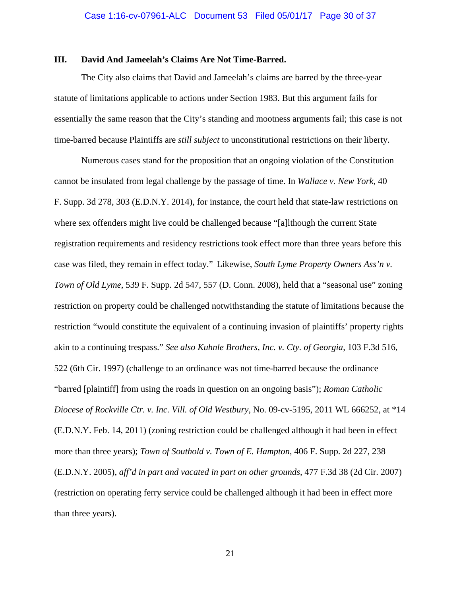### **III. David And Jameelah's Claims Are Not Time-Barred.**

 The City also claims that David and Jameelah's claims are barred by the three-year statute of limitations applicable to actions under Section 1983. But this argument fails for essentially the same reason that the City's standing and mootness arguments fail; this case is not time-barred because Plaintiffs are *still subject* to unconstitutional restrictions on their liberty.

 Numerous cases stand for the proposition that an ongoing violation of the Constitution cannot be insulated from legal challenge by the passage of time. In *Wallace v. New York*, 40 F. Supp. 3d 278, 303 (E.D.N.Y. 2014), for instance, the court held that state-law restrictions on where sex offenders might live could be challenged because "[a]lthough the current State registration requirements and residency restrictions took effect more than three years before this case was filed, they remain in effect today." Likewise, *South Lyme Property Owners Ass'n v. Town of Old Lyme*, 539 F. Supp. 2d 547, 557 (D. Conn. 2008), held that a "seasonal use" zoning restriction on property could be challenged notwithstanding the statute of limitations because the restriction "would constitute the equivalent of a continuing invasion of plaintiffs' property rights akin to a continuing trespass." *See also Kuhnle Brothers, Inc. v. Cty. of Georgia*, 103 F.3d 516, 522 (6th Cir. 1997) (challenge to an ordinance was not time-barred because the ordinance "barred [plaintiff] from using the roads in question on an ongoing basis"); *Roman Catholic Diocese of Rockville Ctr. v. Inc. Vill. of Old Westbury*, No. 09-cv-5195, 2011 WL 666252, at \*14 (E.D.N.Y. Feb. 14, 2011) (zoning restriction could be challenged although it had been in effect more than three years); *Town of Southold v. Town of E. Hampton*, 406 F. Supp. 2d 227, 238 (E.D.N.Y. 2005), *aff'd in part and vacated in part on other grounds,* 477 F.3d 38 (2d Cir. 2007) (restriction on operating ferry service could be challenged although it had been in effect more than three years).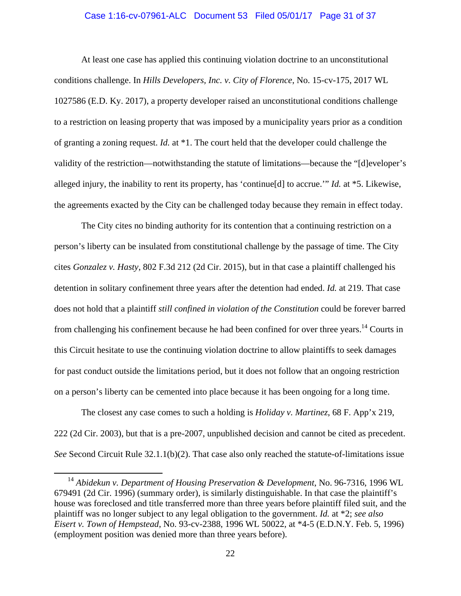#### Case 1:16-cv-07961-ALC Document 53 Filed 05/01/17 Page 31 of 37

 At least one case has applied this continuing violation doctrine to an unconstitutional conditions challenge. In *Hills Developers, Inc. v. City of Florence*, No. 15-cv-175, 2017 WL 1027586 (E.D. Ky. 2017), a property developer raised an unconstitutional conditions challenge to a restriction on leasing property that was imposed by a municipality years prior as a condition of granting a zoning request. *Id.* at \*1. The court held that the developer could challenge the validity of the restriction—notwithstanding the statute of limitations—because the "[d]eveloper's alleged injury, the inability to rent its property, has 'continue[d] to accrue.'" *Id.* at \*5. Likewise, the agreements exacted by the City can be challenged today because they remain in effect today.

 The City cites no binding authority for its contention that a continuing restriction on a person's liberty can be insulated from constitutional challenge by the passage of time. The City cites *Gonzalez v. Hasty*, 802 F.3d 212 (2d Cir. 2015), but in that case a plaintiff challenged his detention in solitary confinement three years after the detention had ended. *Id.* at 219. That case does not hold that a plaintiff *still confined in violation of the Constitution* could be forever barred from challenging his confinement because he had been confined for over three years.<sup>14</sup> Courts in this Circuit hesitate to use the continuing violation doctrine to allow plaintiffs to seek damages for past conduct outside the limitations period, but it does not follow that an ongoing restriction on a person's liberty can be cemented into place because it has been ongoing for a long time.

The closest any case comes to such a holding is *Holiday v. Martinez*, 68 F. App'x 219, 222 (2d Cir. 2003), but that is a pre-2007, unpublished decision and cannot be cited as precedent. *See* Second Circuit Rule 32.1.1(b)(2). That case also only reached the statute-of-limitations issue

 <sup>14</sup> *Abidekun v. Department of Housing Preservation & Development*, No. 96-7316, 1996 WL 679491 (2d Cir. 1996) (summary order), is similarly distinguishable. In that case the plaintiff's house was foreclosed and title transferred more than three years before plaintiff filed suit, and the plaintiff was no longer subject to any legal obligation to the government. *Id.* at \*2; *see also Eisert v. Town of Hempstead*, No. 93-cv-2388, 1996 WL 50022, at \*4-5 (E.D.N.Y. Feb. 5, 1996) (employment position was denied more than three years before).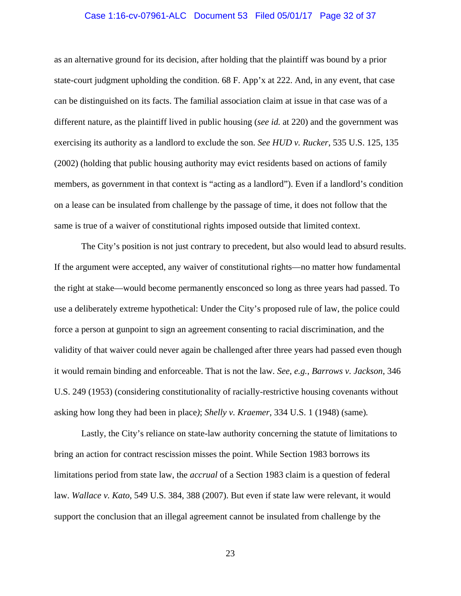#### Case 1:16-cv-07961-ALC Document 53 Filed 05/01/17 Page 32 of 37

as an alternative ground for its decision, after holding that the plaintiff was bound by a prior state-court judgment upholding the condition. 68 F. App'x at 222. And, in any event, that case can be distinguished on its facts. The familial association claim at issue in that case was of a different nature, as the plaintiff lived in public housing (*see id.* at 220) and the government was exercising its authority as a landlord to exclude the son. *See HUD v. Rucker*, 535 U.S. 125, 135 (2002) (holding that public housing authority may evict residents based on actions of family members, as government in that context is "acting as a landlord"). Even if a landlord's condition on a lease can be insulated from challenge by the passage of time, it does not follow that the same is true of a waiver of constitutional rights imposed outside that limited context.

The City's position is not just contrary to precedent, but also would lead to absurd results. If the argument were accepted, any waiver of constitutional rights—no matter how fundamental the right at stake—would become permanently ensconced so long as three years had passed. To use a deliberately extreme hypothetical: Under the City's proposed rule of law, the police could force a person at gunpoint to sign an agreement consenting to racial discrimination, and the validity of that waiver could never again be challenged after three years had passed even though it would remain binding and enforceable. That is not the law. *See*, *e.g.*, *Barrows v. Jackson*, 346 U.S. 249 (1953) (considering constitutionality of racially-restrictive housing covenants without asking how long they had been in place*)*; *Shelly v. Kraemer,* 334 U.S. 1 (1948) (same)*.* 

 Lastly, the City's reliance on state-law authority concerning the statute of limitations to bring an action for contract rescission misses the point. While Section 1983 borrows its limitations period from state law, the *accrual* of a Section 1983 claim is a question of federal law. *Wallace v. Kato*, 549 U.S. 384, 388 (2007). But even if state law were relevant, it would support the conclusion that an illegal agreement cannot be insulated from challenge by the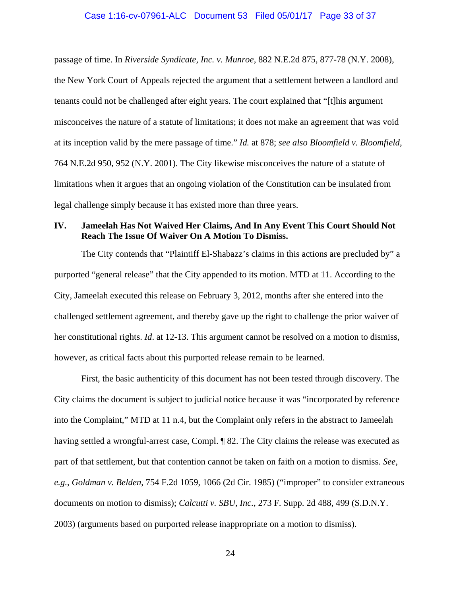#### Case 1:16-cv-07961-ALC Document 53 Filed 05/01/17 Page 33 of 37

passage of time. In *Riverside Syndicate, Inc. v. Munroe*, 882 N.E.2d 875, 877-78 (N.Y. 2008), the New York Court of Appeals rejected the argument that a settlement between a landlord and tenants could not be challenged after eight years. The court explained that "[t]his argument misconceives the nature of a statute of limitations; it does not make an agreement that was void at its inception valid by the mere passage of time." *Id.* at 878; *see also Bloomfield v. Bloomfield*, 764 N.E.2d 950, 952 (N.Y. 2001). The City likewise misconceives the nature of a statute of limitations when it argues that an ongoing violation of the Constitution can be insulated from legal challenge simply because it has existed more than three years.

## **IV. Jameelah Has Not Waived Her Claims, And In Any Event This Court Should Not Reach The Issue Of Waiver On A Motion To Dismiss.**

The City contends that "Plaintiff El-Shabazz's claims in this actions are precluded by" a purported "general release" that the City appended to its motion. MTD at 11. According to the City, Jameelah executed this release on February 3, 2012, months after she entered into the challenged settlement agreement, and thereby gave up the right to challenge the prior waiver of her constitutional rights. *Id*. at 12-13. This argument cannot be resolved on a motion to dismiss, however, as critical facts about this purported release remain to be learned.

First, the basic authenticity of this document has not been tested through discovery. The City claims the document is subject to judicial notice because it was "incorporated by reference into the Complaint," MTD at 11 n.4, but the Complaint only refers in the abstract to Jameelah having settled a wrongful-arrest case, Compl.  $\parallel$  82. The City claims the release was executed as part of that settlement, but that contention cannot be taken on faith on a motion to dismiss. *See*, *e.g.*, *Goldman v. Belden*, 754 F.2d 1059, 1066 (2d Cir. 1985) ("improper" to consider extraneous documents on motion to dismiss); *Calcutti v. SBU, Inc.*, 273 F. Supp. 2d 488, 499 (S.D.N.Y. 2003) (arguments based on purported release inappropriate on a motion to dismiss).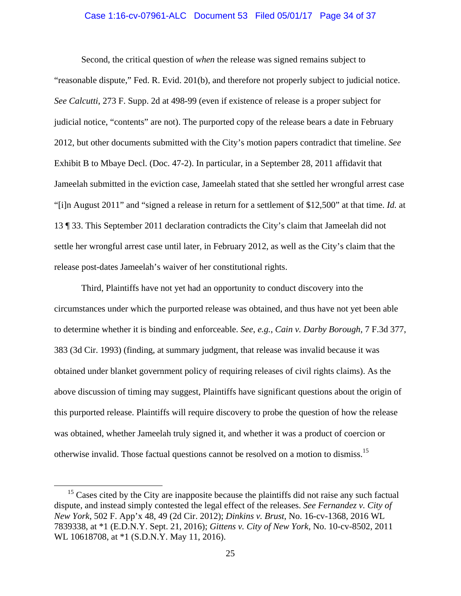#### Case 1:16-cv-07961-ALC Document 53 Filed 05/01/17 Page 34 of 37

Second, the critical question of *when* the release was signed remains subject to "reasonable dispute," Fed. R. Evid. 201(b), and therefore not properly subject to judicial notice. *See Calcutti*, 273 F. Supp. 2d at 498-99 (even if existence of release is a proper subject for judicial notice, "contents" are not). The purported copy of the release bears a date in February 2012, but other documents submitted with the City's motion papers contradict that timeline. *See*  Exhibit B to Mbaye Decl. (Doc. 47-2). In particular, in a September 28, 2011 affidavit that Jameelah submitted in the eviction case, Jameelah stated that she settled her wrongful arrest case "[i]n August 2011" and "signed a release in return for a settlement of \$12,500" at that time. *Id.* at 13 ¶ 33. This September 2011 declaration contradicts the City's claim that Jameelah did not settle her wrongful arrest case until later, in February 2012, as well as the City's claim that the release post-dates Jameelah's waiver of her constitutional rights.

Third, Plaintiffs have not yet had an opportunity to conduct discovery into the circumstances under which the purported release was obtained, and thus have not yet been able to determine whether it is binding and enforceable. *See*, *e.g.*, *Cain v. Darby Borough*, 7 F.3d 377, 383 (3d Cir. 1993) (finding, at summary judgment, that release was invalid because it was obtained under blanket government policy of requiring releases of civil rights claims). As the above discussion of timing may suggest, Plaintiffs have significant questions about the origin of this purported release. Plaintiffs will require discovery to probe the question of how the release was obtained, whether Jameelah truly signed it, and whether it was a product of coercion or otherwise invalid. Those factual questions cannot be resolved on a motion to dismiss.<sup>15</sup>

<sup>&</sup>lt;sup>15</sup> Cases cited by the City are inapposite because the plaintiffs did not raise any such factual dispute, and instead simply contested the legal effect of the releases. *See Fernandez v. City of New York*, 502 F. App'x 48, 49 (2d Cir. 2012); *Dinkins v. Brust*, No. 16-cv-1368, 2016 WL 7839338, at \*1 (E.D.N.Y. Sept. 21, 2016); *Gittens v. City of New York*, No. 10-cv-8502, 2011 WL 10618708, at \*1 (S.D.N.Y. May 11, 2016).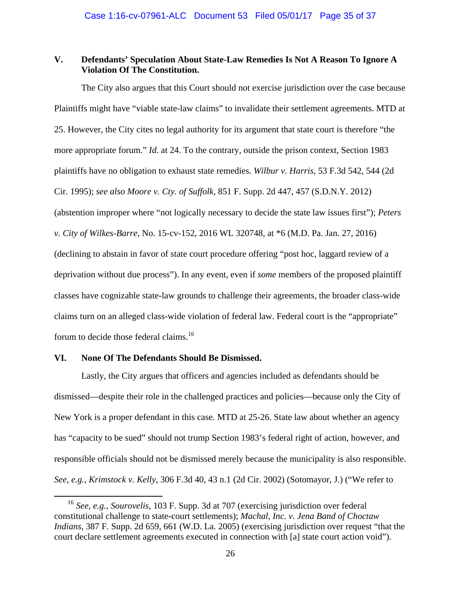## **V. Defendants' Speculation About State-Law Remedies Is Not A Reason To Ignore A Violation Of The Constitution.**

 The City also argues that this Court should not exercise jurisdiction over the case because Plaintiffs might have "viable state-law claims" to invalidate their settlement agreements. MTD at 25. However, the City cites no legal authority for its argument that state court is therefore "the more appropriate forum." *Id*. at 24. To the contrary, outside the prison context, Section 1983 plaintiffs have no obligation to exhaust state remedies. *Wilbur v. Harris*, 53 F.3d 542, 544 (2d Cir. 1995); *see also Moore v. Cty. of Suffolk*, 851 F. Supp. 2d 447, 457 (S.D.N.Y. 2012) (abstention improper where "not logically necessary to decide the state law issues first"); *Peters v. City of Wilkes-Barre*, No. 15-cv-152, 2016 WL 320748, at \*6 (M.D. Pa. Jan. 27, 2016) (declining to abstain in favor of state court procedure offering "post hoc, laggard review of a deprivation without due process"). In any event, even if *some* members of the proposed plaintiff classes have cognizable state-law grounds to challenge their agreements, the broader class-wide claims turn on an alleged class-wide violation of federal law. Federal court is the "appropriate" forum to decide those federal claims.<sup>16</sup>

## **VI. None Of The Defendants Should Be Dismissed.**

Lastly, the City argues that officers and agencies included as defendants should be dismissed—despite their role in the challenged practices and policies—because only the City of New York is a proper defendant in this case. MTD at 25-26. State law about whether an agency has "capacity to be sued" should not trump Section 1983's federal right of action, however, and responsible officials should not be dismissed merely because the municipality is also responsible. *See*, *e.g.*, *Krimstock v. Kelly*, 306 F.3d 40, 43 n.1 (2d Cir. 2002) (Sotomayor, J.) ("We refer to

 <sup>16</sup> *See, e.g.*, *Sourovelis*, 103 F. Supp. 3d at 707 (exercising jurisdiction over federal constitutional challenge to state-court settlements); *Machal, Inc. v. Jena Band of Choctaw Indians*, 387 F. Supp. 2d 659, 661 (W.D. La. 2005) (exercising jurisdiction over request "that the court declare settlement agreements executed in connection with [a] state court action void").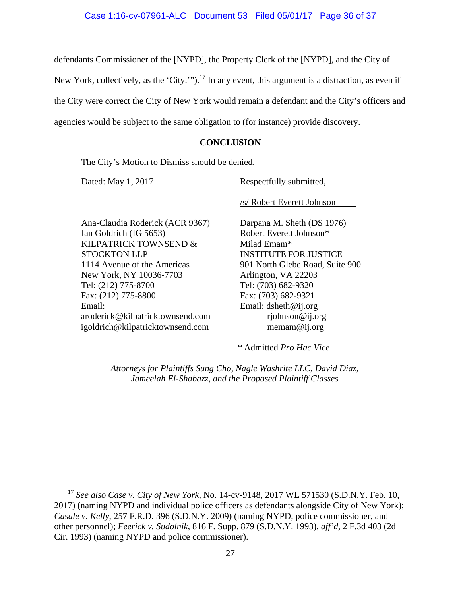defendants Commissioner of the [NYPD], the Property Clerk of the [NYPD], and the City of New York, collectively, as the 'City.'").<sup>17</sup> In any event, this argument is a distraction, as even if the City were correct the City of New York would remain a defendant and the City's officers and agencies would be subject to the same obligation to (for instance) provide discovery.

## **CONCLUSION**

The City's Motion to Dismiss should be denied.

Dated: May 1, 2017

Respectfully submitted,

/s/ Robert Everett Johnson a

Ana-Claudia Roderick (ACR 9367) Ian Goldrich (IG 5653) KILPATRICK TOWNSEND & STOCKTON LLP 1114 Avenue of the Americas New York, NY 10036-7703 Tel: (212) 775-8700 Fax: (212) 775-8800 Email: aroderick@kilpatricktownsend.com igoldrich@kilpatricktownsend.com

Darpana M. Sheth (DS 1976) Robert Everett Johnson\* Milad Emam\* INSTITUTE FOR JUSTICE 901 North Glebe Road, Suite 900 Arlington, VA 22203 Tel: (703) 682-9320 Fax: (703) 682-9321 Email: dsheth@ij.org rjohnson@ij.org memam@ij.org

*\** Admitted *Pro Hac Vice*

*Attorneys for Plaintiffs Sung Cho, Nagle Washrite LLC, David Diaz, Jameelah El-Shabazz, and the Proposed Plaintiff Classes* 

 <sup>17</sup> *See also Case v. City of New York*, No. 14-cv-9148, 2017 WL 571530 (S.D.N.Y. Feb. 10, 2017) (naming NYPD and individual police officers as defendants alongside City of New York); *Casale v. Kelly*, 257 F.R.D. 396 (S.D.N.Y. 2009) (naming NYPD, police commissioner, and other personnel); *Feerick v. Sudolnik*, 816 F. Supp. 879 (S.D.N.Y. 1993), *aff'd*, 2 F.3d 403 (2d Cir. 1993) (naming NYPD and police commissioner).